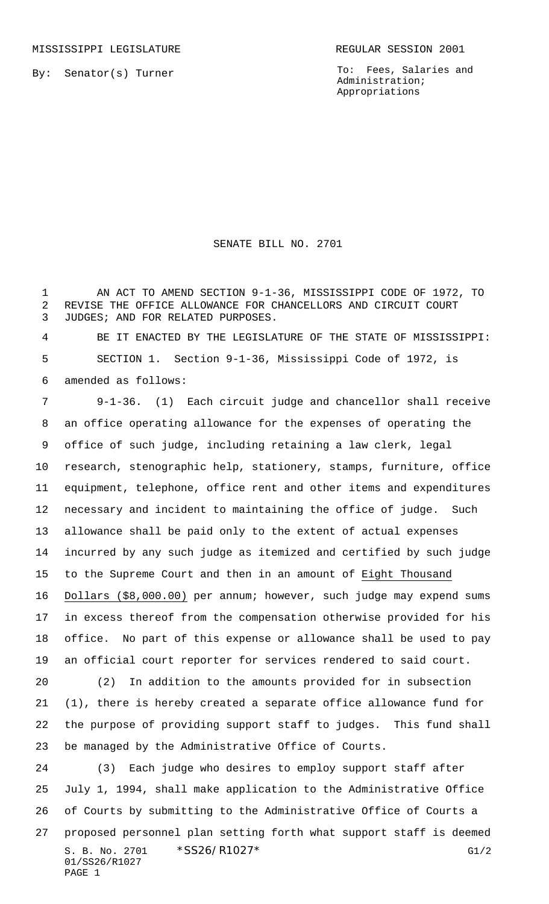By: Senator(s) Turner

To: Fees, Salaries and Administration; Appropriations

SENATE BILL NO. 2701

1 AN ACT TO AMEND SECTION 9-1-36, MISSISSIPPI CODE OF 1972, TO REVISE THE OFFICE ALLOWANCE FOR CHANCELLORS AND CIRCUIT COURT JUDGES; AND FOR RELATED PURPOSES.

 BE IT ENACTED BY THE LEGISLATURE OF THE STATE OF MISSISSIPPI: SECTION 1. Section 9-1-36, Mississippi Code of 1972, is amended as follows:

 9-1-36. (1) Each circuit judge and chancellor shall receive an office operating allowance for the expenses of operating the office of such judge, including retaining a law clerk, legal research, stenographic help, stationery, stamps, furniture, office equipment, telephone, office rent and other items and expenditures necessary and incident to maintaining the office of judge. Such allowance shall be paid only to the extent of actual expenses incurred by any such judge as itemized and certified by such judge to the Supreme Court and then in an amount of Eight Thousand Dollars (\$8,000.00) per annum; however, such judge may expend sums in excess thereof from the compensation otherwise provided for his office. No part of this expense or allowance shall be used to pay an official court reporter for services rendered to said court. (2) In addition to the amounts provided for in subsection

 (1), there is hereby created a separate office allowance fund for the purpose of providing support staff to judges. This fund shall be managed by the Administrative Office of Courts.

S. B. No. 2701 \* SS26/R1027\* G1/2 01/SS26/R1027 PAGE 1 (3) Each judge who desires to employ support staff after July 1, 1994, shall make application to the Administrative Office of Courts by submitting to the Administrative Office of Courts a proposed personnel plan setting forth what support staff is deemed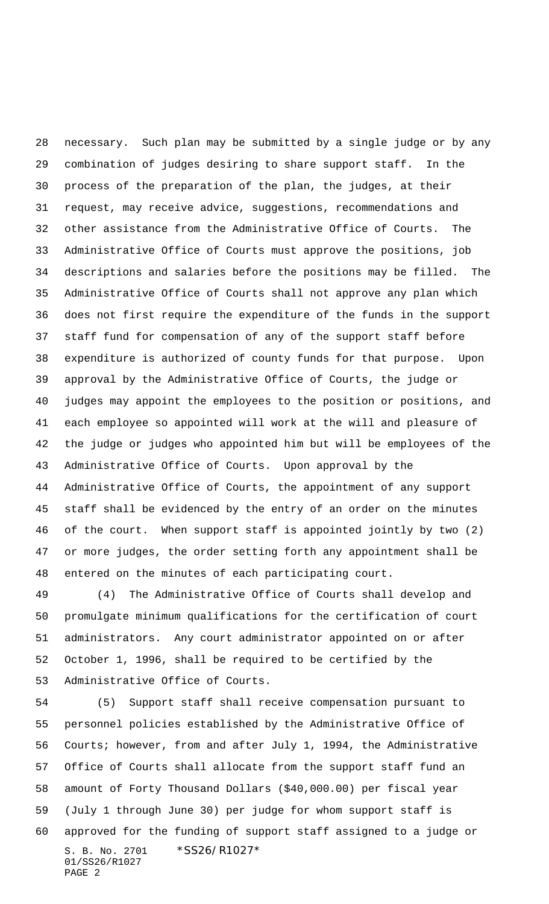necessary. Such plan may be submitted by a single judge or by any combination of judges desiring to share support staff. In the process of the preparation of the plan, the judges, at their request, may receive advice, suggestions, recommendations and other assistance from the Administrative Office of Courts. The Administrative Office of Courts must approve the positions, job descriptions and salaries before the positions may be filled. The Administrative Office of Courts shall not approve any plan which does not first require the expenditure of the funds in the support staff fund for compensation of any of the support staff before expenditure is authorized of county funds for that purpose. Upon approval by the Administrative Office of Courts, the judge or judges may appoint the employees to the position or positions, and each employee so appointed will work at the will and pleasure of the judge or judges who appointed him but will be employees of the Administrative Office of Courts. Upon approval by the Administrative Office of Courts, the appointment of any support staff shall be evidenced by the entry of an order on the minutes of the court. When support staff is appointed jointly by two (2) or more judges, the order setting forth any appointment shall be entered on the minutes of each participating court.

 (4) The Administrative Office of Courts shall develop and promulgate minimum qualifications for the certification of court administrators. Any court administrator appointed on or after October 1, 1996, shall be required to be certified by the Administrative Office of Courts.

S. B. No. 2701 \*SS26/R1027\* 01/SS26/R1027 PAGE 2 (5) Support staff shall receive compensation pursuant to personnel policies established by the Administrative Office of Courts; however, from and after July 1, 1994, the Administrative Office of Courts shall allocate from the support staff fund an amount of Forty Thousand Dollars (\$40,000.00) per fiscal year (July 1 through June 30) per judge for whom support staff is approved for the funding of support staff assigned to a judge or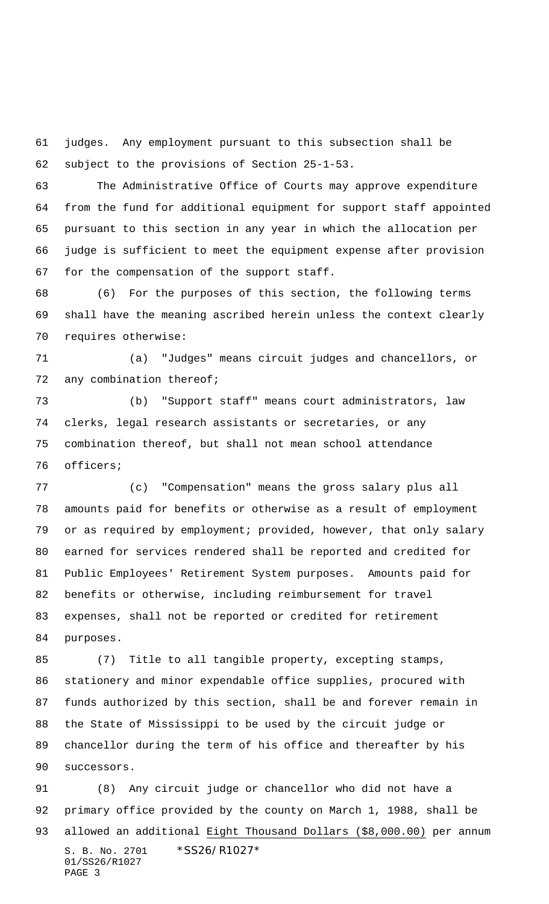judges. Any employment pursuant to this subsection shall be subject to the provisions of Section 25-1-53.

 The Administrative Office of Courts may approve expenditure from the fund for additional equipment for support staff appointed pursuant to this section in any year in which the allocation per judge is sufficient to meet the equipment expense after provision for the compensation of the support staff.

 (6) For the purposes of this section, the following terms shall have the meaning ascribed herein unless the context clearly requires otherwise:

 (a) "Judges" means circuit judges and chancellors, or 72 any combination thereof;

 (b) "Support staff" means court administrators, law clerks, legal research assistants or secretaries, or any combination thereof, but shall not mean school attendance officers;

 (c) "Compensation" means the gross salary plus all amounts paid for benefits or otherwise as a result of employment or as required by employment; provided, however, that only salary earned for services rendered shall be reported and credited for Public Employees' Retirement System purposes. Amounts paid for benefits or otherwise, including reimbursement for travel expenses, shall not be reported or credited for retirement purposes.

 (7) Title to all tangible property, excepting stamps, stationery and minor expendable office supplies, procured with funds authorized by this section, shall be and forever remain in the State of Mississippi to be used by the circuit judge or chancellor during the term of his office and thereafter by his successors.

S. B. No. 2701 \*SS26/R1027\* 01/SS26/R1027 PAGE 3 (8) Any circuit judge or chancellor who did not have a primary office provided by the county on March 1, 1988, shall be allowed an additional Eight Thousand Dollars (\$8,000.00) per annum